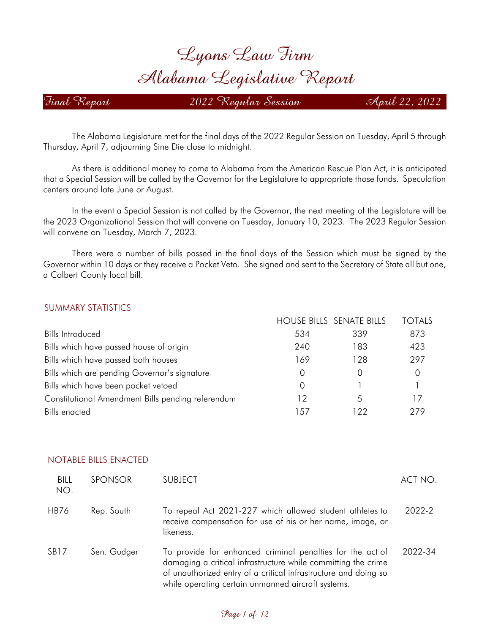# *Lyons Law Firm Alabama Legislative Report*

*Final Report 2022 Regular Session April 22, 2022*

The Alabama Legislature met for the final days of the 2022 Regular Session on Tuesday, April 5 through Thursday, April 7, adjourning Sine Die close to midnight.

As there is additional money to come to Alabama from the American Rescue Plan Act, it is anticipated that a Special Session will be called by the Governor for the Legislature to appropriate those funds. Speculation centers around late June or August.

In the event a Special Session is not called by the Governor, the next meeting of the Legislature will be the 2023 Organizational Session that will convene on Tuesday, January 10, 2023. The 2023 Regular Session will convene on Tuesday, March 7, 2023.

There were a number of bills passed in the final days of the Session which must be signed by the Governor within 10 days or they receive a Pocket Veto. She signed and sent to the Secretary of State all but one, a Colbert County local bill.

#### SUMMARY STATISTICS

|                                                   |                  | <b>HOUSE BILLS SENATE BILLS</b> | <b>TOTALS</b> |
|---------------------------------------------------|------------------|---------------------------------|---------------|
| <b>Bills Introduced</b>                           | 534              | 339                             | 873           |
| Bills which have passed house of origin           | 240              | 183                             | 423           |
| Bills which have passed both houses               | 169              | 128                             | 297           |
| Bills which are pending Governor's signature      | 0                | $\left( \right)$                | $\Omega$      |
| Bills which have been pocket vetoed               | $\left( \right)$ |                                 |               |
| Constitutional Amendment Bills pending referendum | 12               | 5                               |               |
| <b>Bills</b> enacted                              | .57              | 122                             | 279           |

| <b>BILL</b><br>NO. | <b>SPONSOR</b> | <b>SUBJECT</b>                                                                                                                                                                                                                                      | ACT NO. |
|--------------------|----------------|-----------------------------------------------------------------------------------------------------------------------------------------------------------------------------------------------------------------------------------------------------|---------|
| <b>HB76</b>        | Rep. South     | To repeal Act 2021-227 which allowed student athletes to<br>receive compensation for use of his or her name, image, or<br>likeness.                                                                                                                 | 2022-2  |
| SB <sub>17</sub>   | Sen. Gudger    | To provide for enhanced criminal penalties for the act of<br>damaging a critical infrastructure while committing the crime<br>of unauthorized entry of a critical infrastructure and doing so<br>while operating certain unmanned aircraft systems. | 2022-34 |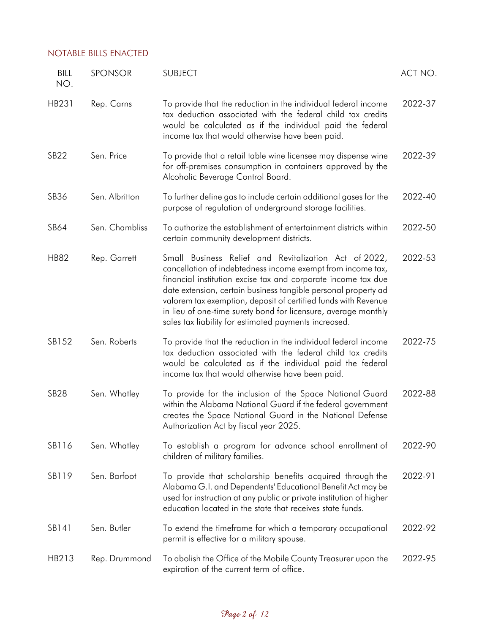| <b>BILL</b><br>NO. | SPONSOR        | <b>SUBJECT</b>                                                                                                                                                                                                                                                                                                                                                                                                                                       | ACT NO. |
|--------------------|----------------|------------------------------------------------------------------------------------------------------------------------------------------------------------------------------------------------------------------------------------------------------------------------------------------------------------------------------------------------------------------------------------------------------------------------------------------------------|---------|
| HB231              | Rep. Carns     | To provide that the reduction in the individual federal income<br>tax deduction associated with the federal child tax credits<br>would be calculated as if the individual paid the federal<br>income tax that would otherwise have been paid.                                                                                                                                                                                                        | 2022-37 |
| <b>SB22</b>        | Sen. Price     | To provide that a retail table wine licensee may dispense wine<br>for off-premises consumption in containers approved by the<br>Alcoholic Beverage Control Board.                                                                                                                                                                                                                                                                                    | 2022-39 |
| SB36               | Sen. Albritton | To further define gas to include certain additional gases for the<br>purpose of regulation of underground storage facilities.                                                                                                                                                                                                                                                                                                                        | 2022-40 |
| SB64               | Sen. Chambliss | To authorize the establishment of entertainment districts within<br>certain community development districts.                                                                                                                                                                                                                                                                                                                                         | 2022-50 |
| <b>HB82</b>        | Rep. Garrett   | Small Business Relief and Revitalization Act of 2022,<br>cancellation of indebtedness income exempt from income tax,<br>financial institution excise tax and corporate income tax due<br>date extension, certain business tangible personal property ad<br>valorem tax exemption, deposit of certified funds with Revenue<br>in lieu of one-time surety bond for licensure, average monthly<br>sales tax liability for estimated payments increased. | 2022-53 |
| SB152              | Sen. Roberts   | To provide that the reduction in the individual federal income<br>tax deduction associated with the federal child tax credits<br>would be calculated as if the individual paid the federal<br>income tax that would otherwise have been paid.                                                                                                                                                                                                        | 2022-75 |
| <b>SB28</b>        | Sen. Whatley   | To provide for the inclusion of the Space National Guard<br>within the Alabama National Guard if the federal government<br>creates the Space National Guard in the National Defense<br>Authorization Act by fiscal year 2025.                                                                                                                                                                                                                        | 2022-88 |
| SB116              | Sen. Whatley   | To establish a program for advance school enrollment of<br>children of military families.                                                                                                                                                                                                                                                                                                                                                            | 2022-90 |
| SB119              | Sen. Barfoot   | To provide that scholarship benefits acquired through the<br>Alabama G.I. and Dependents' Educational Benefit Act may be<br>used for instruction at any public or private institution of higher<br>education located in the state that receives state funds.                                                                                                                                                                                         | 2022-91 |
| SB141              | Sen. Butler    | To extend the timeframe for which a temporary occupational<br>permit is effective for a military spouse.                                                                                                                                                                                                                                                                                                                                             | 2022-92 |
| HB213              | Rep. Drummond  | To abolish the Office of the Mobile County Treasurer upon the<br>expiration of the current term of office.                                                                                                                                                                                                                                                                                                                                           | 2022-95 |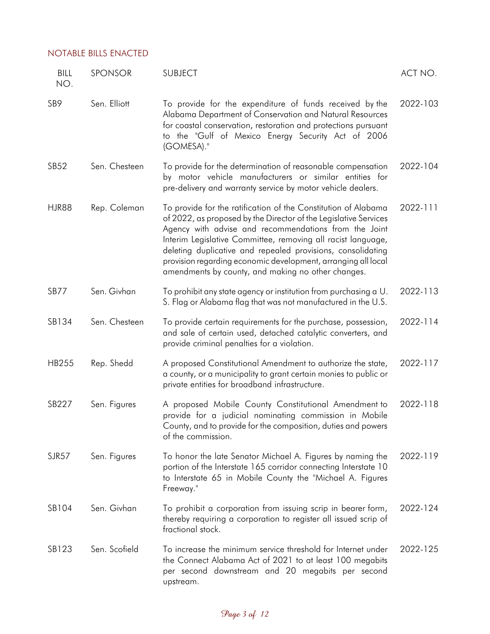| BILL<br>NO.      | SPONSOR       | <b>SUBJECT</b>                                                                                                                                                                                                                                                                                                                                                                                                                                    | ACT NO.  |
|------------------|---------------|---------------------------------------------------------------------------------------------------------------------------------------------------------------------------------------------------------------------------------------------------------------------------------------------------------------------------------------------------------------------------------------------------------------------------------------------------|----------|
| SB <sub>9</sub>  | Sen. Elliott  | To provide for the expenditure of funds received by the<br>Alabama Department of Conservation and Natural Resources<br>for coastal conservation, restoration and protections pursuant<br>to the "Gulf of Mexico Energy Security Act of 2006<br>(GOMESA)."                                                                                                                                                                                         | 2022-103 |
| SB <sub>52</sub> | Sen. Chesteen | To provide for the determination of reasonable compensation<br>by motor vehicle manufacturers or similar entities for<br>pre-delivery and warranty service by motor vehicle dealers.                                                                                                                                                                                                                                                              | 2022-104 |
| <b>HJR88</b>     | Rep. Coleman  | To provide for the ratification of the Constitution of Alabama<br>of 2022, as proposed by the Director of the Legislative Services<br>Agency with advise and recommendations from the Joint<br>Interim Legislative Committee, removing all racist language,<br>deleting duplicative and repealed provisions, consolidating<br>provision regarding economic development, arranging all local<br>amendments by county, and making no other changes. | 2022-111 |
| SB77             | Sen. Givhan   | To prohibit any state agency or institution from purchasing a U.<br>S. Flag or Alabama flag that was not manufactured in the U.S.                                                                                                                                                                                                                                                                                                                 | 2022-113 |
| SB134            | Sen. Chesteen | To provide certain requirements for the purchase, possession,<br>and sale of certain used, detached catalytic converters, and<br>provide criminal penalties for a violation.                                                                                                                                                                                                                                                                      | 2022-114 |
| <b>HB255</b>     | Rep. Shedd    | A proposed Constitutional Amendment to authorize the state,<br>a county, or a municipality to grant certain monies to public or<br>private entities for broadband infrastructure.                                                                                                                                                                                                                                                                 | 2022-117 |
| SB227            | Sen. Figures  | A proposed Mobile County Constitutional Amendment to<br>provide for a judicial nominating commission in Mobile<br>County, and to provide for the composition, duties and powers<br>of the commission.                                                                                                                                                                                                                                             | 2022-118 |
| SJR57            | Sen. Figures  | To honor the late Senator Michael A. Figures by naming the<br>portion of the Interstate 165 corridor connecting Interstate 10<br>to Interstate 65 in Mobile County the "Michael A. Figures<br>Freeway."                                                                                                                                                                                                                                           | 2022-119 |
| SB104            | Sen. Givhan   | To prohibit a corporation from issuing scrip in bearer form,<br>thereby requiring a corporation to register all issued scrip of<br>fractional stock.                                                                                                                                                                                                                                                                                              | 2022-124 |
| SB123            | Sen. Scofield | To increase the minimum service threshold for Internet under<br>the Connect Alabama Act of 2021 to at least 100 megabits<br>per second downstream and 20 megabits per second<br>upstream.                                                                                                                                                                                                                                                         | 2022-125 |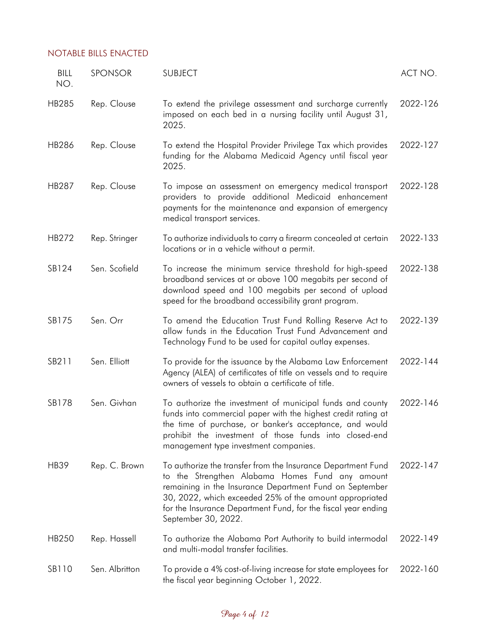| BILL<br>NO.  | SPONSOR        | <b>SUBJECT</b>                                                                                                                                                                                                                                                                                                                | ACT NO.  |
|--------------|----------------|-------------------------------------------------------------------------------------------------------------------------------------------------------------------------------------------------------------------------------------------------------------------------------------------------------------------------------|----------|
| <b>HB285</b> | Rep. Clouse    | To extend the privilege assessment and surcharge currently<br>imposed on each bed in a nursing facility until August 31,<br>2025.                                                                                                                                                                                             | 2022-126 |
| <b>HB286</b> | Rep. Clouse    | To extend the Hospital Provider Privilege Tax which provides<br>funding for the Alabama Medicaid Agency until fiscal year<br>2025.                                                                                                                                                                                            | 2022-127 |
| HB287        | Rep. Clouse    | To impose an assessment on emergency medical transport<br>providers to provide additional Medicaid enhancement<br>payments for the maintenance and expansion of emergency<br>medical transport services.                                                                                                                      | 2022-128 |
| HB272        | Rep. Stringer  | To authorize individuals to carry a firearm concealed at certain<br>locations or in a vehicle without a permit.                                                                                                                                                                                                               | 2022-133 |
| SB124        | Sen. Scofield  | To increase the minimum service threshold for high-speed<br>broadband services at or above 100 megabits per second of<br>download speed and 100 megabits per second of upload<br>speed for the broadband accessibility grant program.                                                                                         | 2022-138 |
| SB175        | Sen. Orr       | To amend the Education Trust Fund Rolling Reserve Act to<br>allow funds in the Education Trust Fund Advancement and<br>Technology Fund to be used for capital outlay expenses.                                                                                                                                                | 2022-139 |
| SB211        | Sen. Elliott   | To provide for the issuance by the Alabama Law Enforcement<br>Agency (ALEA) of certificates of title on vessels and to require<br>owners of vessels to obtain a certificate of title.                                                                                                                                         | 2022-144 |
| SB178        | Sen. Givhan    | To authorize the investment of municipal funds and county<br>funds into commercial paper with the highest credit rating at<br>the time of purchase, or banker's acceptance, and would<br>prohibit the investment of those funds into closed-end<br>management type investment companies.                                      | 2022-146 |
| <b>HB39</b>  | Rep. C. Brown  | To authorize the transfer from the Insurance Department Fund<br>to the Strengthen Alabama Homes Fund any amount<br>remaining in the Insurance Department Fund on September<br>30, 2022, which exceeded 25% of the amount appropriated<br>for the Insurance Department Fund, for the fiscal year ending<br>September 30, 2022. | 2022-147 |
| HB250        | Rep. Hassell   | To authorize the Alabama Port Authority to build intermodal<br>and multi-modal transfer facilities.                                                                                                                                                                                                                           | 2022-149 |
| SB110        | Sen. Albritton | To provide a 4% cost-of-living increase for state employees for<br>the fiscal year beginning October 1, 2022.                                                                                                                                                                                                                 | 2022-160 |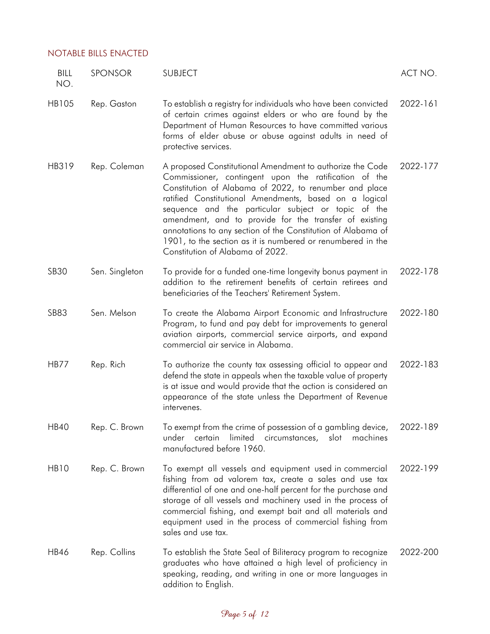| BILL<br>NO.      | <b>SPONSOR</b> | <b>SUBJECT</b>                                                                                                                                                                                                                                                                                                                                                                                                                                                                                                             | ACT NO.  |
|------------------|----------------|----------------------------------------------------------------------------------------------------------------------------------------------------------------------------------------------------------------------------------------------------------------------------------------------------------------------------------------------------------------------------------------------------------------------------------------------------------------------------------------------------------------------------|----------|
| <b>HB105</b>     | Rep. Gaston    | To establish a registry for individuals who have been convicted<br>of certain crimes against elders or who are found by the<br>Department of Human Resources to have committed various<br>forms of elder abuse or abuse against adults in need of<br>protective services.                                                                                                                                                                                                                                                  | 2022-161 |
| HB319            | Rep. Coleman   | A proposed Constitutional Amendment to authorize the Code<br>Commissioner, contingent upon the ratification of the<br>Constitution of Alabama of 2022, to renumber and place<br>ratified Constitutional Amendments, based on a logical<br>sequence and the particular subject or topic of the<br>amendment, and to provide for the transfer of existing<br>annotations to any section of the Constitution of Alabama of<br>1901, to the section as it is numbered or renumbered in the<br>Constitution of Alabama of 2022. | 2022-177 |
| <b>SB30</b>      | Sen. Singleton | To provide for a funded one-time longevity bonus payment in<br>addition to the retirement benefits of certain retirees and<br>beneficiaries of the Teachers' Retirement System.                                                                                                                                                                                                                                                                                                                                            | 2022-178 |
| <b>SB83</b>      | Sen. Melson    | To create the Alabama Airport Economic and Infrastructure<br>Program, to fund and pay debt for improvements to general<br>aviation airports, commercial service airports, and expand<br>commercial air service in Alabama.                                                                                                                                                                                                                                                                                                 | 2022-180 |
| <b>HB77</b>      | Rep. Rich      | To authorize the county tax assessing official to appear and<br>defend the state in appeals when the taxable value of property<br>is at issue and would provide that the action is considered an<br>appearance of the state unless the Department of Revenue<br>intervenes.                                                                                                                                                                                                                                                | 2022-183 |
| <b>HB40</b>      | Rep. C. Brown  | To exempt from the crime of possession of a gambling device,<br>limited<br>certain<br>slot<br>machines<br>under<br>circumstances,<br>manufactured before 1960.                                                                                                                                                                                                                                                                                                                                                             | 2022-189 |
| HB <sub>10</sub> | Rep. C. Brown  | To exempt all vessels and equipment used in commercial<br>fishing from ad valorem tax, create a sales and use tax<br>differential of one and one-half percent for the purchase and<br>storage of all vessels and machinery used in the process of<br>commercial fishing, and exempt bait and all materials and<br>equipment used in the process of commercial fishing from<br>sales and use tax.                                                                                                                           | 2022-199 |
| <b>HB46</b>      | Rep. Collins   | To establish the State Seal of Biliteracy program to recognize<br>graduates who have attained a high level of proficiency in<br>speaking, reading, and writing in one or more languages in<br>addition to English.                                                                                                                                                                                                                                                                                                         | 2022-200 |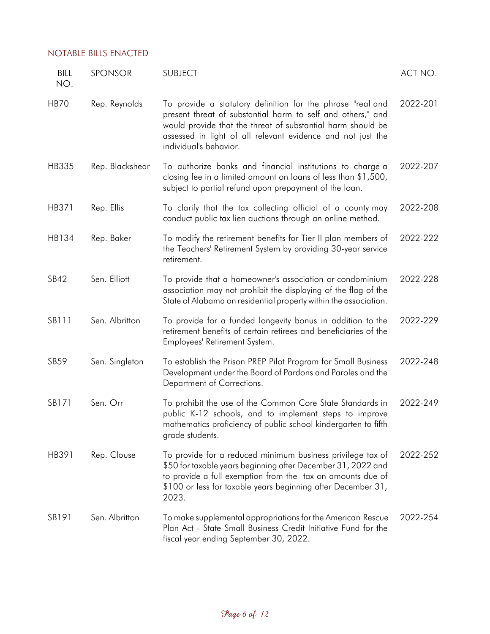| <b>BILL</b><br>NO. | SPONSOR         | <b>SUBJECT</b>                                                                                                                                                                                                                                                                    | ACT NO.  |
|--------------------|-----------------|-----------------------------------------------------------------------------------------------------------------------------------------------------------------------------------------------------------------------------------------------------------------------------------|----------|
| <b>HB70</b>        | Rep. Reynolds   | To provide a statutory definition for the phrase "real and<br>present threat of substantial harm to self and others," and<br>would provide that the threat of substantial harm should be<br>assessed in light of all relevant evidence and not just the<br>individual's behavior. | 2022-201 |
| HB335              | Rep. Blackshear | To authorize banks and financial institutions to charge a<br>closing fee in a limited amount on loans of less than \$1,500,<br>subject to partial refund upon prepayment of the loan.                                                                                             | 2022-207 |
| HB371              | Rep. Ellis      | To clarify that the tax collecting official of a county may<br>conduct public tax lien auctions through an online method.                                                                                                                                                         | 2022-208 |
| HB134              | Rep. Baker      | To modify the retirement benefits for Tier II plan members of<br>the Teachers' Retirement System by providing 30-year service<br>retirement.                                                                                                                                      | 2022-222 |
| <b>SB42</b>        | Sen. Elliott    | To provide that a homeowner's association or condominium<br>association may not prohibit the displaying of the flag of the<br>State of Alabama on residential property within the association.                                                                                    | 2022-228 |
| SB111              | Sen. Albritton  | To provide for a funded longevity bonus in addition to the<br>retirement benefits of certain retirees and beneficiaries of the<br>Employees' Retirement System.                                                                                                                   | 2022-229 |
| SB59               | Sen. Singleton  | To establish the Prison PREP Pilot Program for Small Business<br>Development under the Board of Pardons and Paroles and the<br>Department of Corrections.                                                                                                                         | 2022-248 |
| SB171              | Sen. Orr        | To prohibit the use of the Common Core State Standards in<br>public K-12 schools, and to implement steps to improve<br>mathematics proficiency of public school kindergarten to fifth<br>grade students.                                                                          | 2022-249 |
| HB391              | Rep. Clouse     | To provide for a reduced minimum business privilege tax of<br>\$50 for taxable years beginning after December 31, 2022 and<br>to provide a full exemption from the tax on amounts due of<br>\$100 or less for taxable years beginning after December 31,<br>2023.                 | 2022-252 |
| SB191              | Sen. Albritton  | To make supplemental appropriations for the American Rescue<br>Plan Act - State Small Business Credit Initiative Fund for the<br>fiscal year ending September 30, 2022.                                                                                                           | 2022-254 |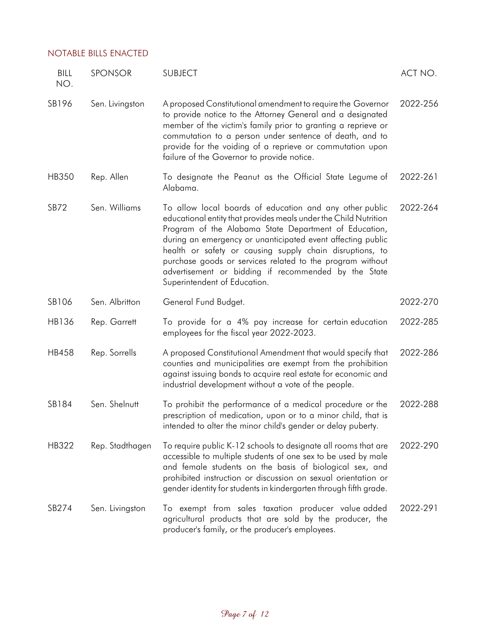| BILL<br>NO.  | SPONSOR         | <b>SUBJECT</b>                                                                                                                                                                                                                                                                                                                                                                                                                                                       | ACT NO.  |
|--------------|-----------------|----------------------------------------------------------------------------------------------------------------------------------------------------------------------------------------------------------------------------------------------------------------------------------------------------------------------------------------------------------------------------------------------------------------------------------------------------------------------|----------|
| SB196        | Sen. Livingston | A proposed Constitutional amendment to require the Governor<br>to provide notice to the Attorney General and a designated<br>member of the victim's family prior to granting a reprieve or<br>commutation to a person under sentence of death, and to<br>provide for the voiding of a reprieve or commutation upon<br>failure of the Governor to provide notice.                                                                                                     | 2022-256 |
| <b>HB350</b> | Rep. Allen      | To designate the Peanut as the Official State Legume of<br>Alabama.                                                                                                                                                                                                                                                                                                                                                                                                  | 2022-261 |
| <b>SB72</b>  | Sen. Williams   | To allow local boards of education and any other public<br>educational entity that provides meals under the Child Nutrition<br>Program of the Alabama State Department of Education,<br>during an emergency or unanticipated event affecting public<br>health or safety or causing supply chain disruptions, to<br>purchase goods or services related to the program without<br>advertisement or bidding if recommended by the State<br>Superintendent of Education. | 2022-264 |
| SB106        | Sen. Albritton  | General Fund Budget.                                                                                                                                                                                                                                                                                                                                                                                                                                                 | 2022-270 |
| HB136        | Rep. Garrett    | To provide for a 4% pay increase for certain education<br>employees for the fiscal year 2022-2023.                                                                                                                                                                                                                                                                                                                                                                   | 2022-285 |
| <b>HB458</b> | Rep. Sorrells   | A proposed Constitutional Amendment that would specify that<br>counties and municipalities are exempt from the prohibition<br>against issuing bonds to acquire real estate for economic and<br>industrial development without a vote of the people.                                                                                                                                                                                                                  | 2022-286 |
| SB184        | Sen. Shelnutt   | To prohibit the performance of a medical procedure or the<br>prescription of medication, upon or to a minor child, that is<br>intended to alter the minor child's gender or delay puberty.                                                                                                                                                                                                                                                                           | 2022-288 |
| HB322        | Rep. Stadthagen | To require public K-12 schools to designate all rooms that are<br>accessible to multiple students of one sex to be used by male<br>and female students on the basis of biological sex, and<br>prohibited instruction or discussion on sexual orientation or<br>gender identity for students in kindergarten through fifth grade.                                                                                                                                     | 2022-290 |
| SB274        | Sen. Livingston | To exempt from sales taxation producer value added<br>agricultural products that are sold by the producer, the<br>producer's family, or the producer's employees.                                                                                                                                                                                                                                                                                                    | 2022-291 |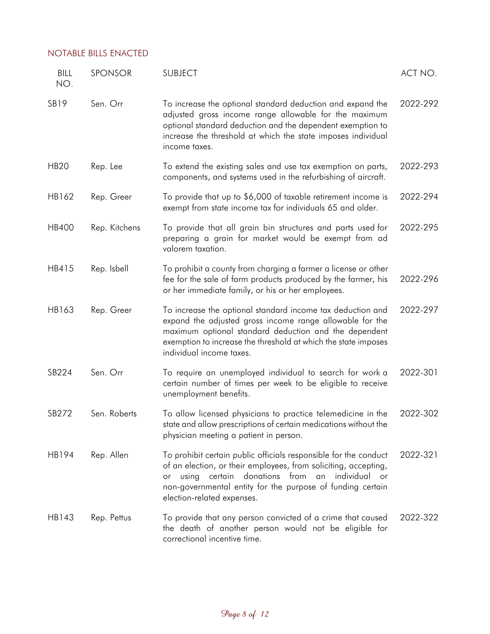| BILL<br>NO.      | SPONSOR       | <b>SUBJECT</b>                                                                                                                                                                                                                                                                                     | ACT NO.  |
|------------------|---------------|----------------------------------------------------------------------------------------------------------------------------------------------------------------------------------------------------------------------------------------------------------------------------------------------------|----------|
| SB <sub>19</sub> | Sen. Orr      | To increase the optional standard deduction and expand the<br>adjusted gross income range allowable for the maximum<br>optional standard deduction and the dependent exemption to<br>increase the threshold at which the state imposes individual<br>income taxes.                                 | 2022-292 |
| <b>HB20</b>      | Rep. Lee      | To extend the existing sales and use tax exemption on parts,<br>components, and systems used in the refurbishing of aircraft.                                                                                                                                                                      | 2022-293 |
| HB162            | Rep. Greer    | To provide that up to \$6,000 of taxable retirement income is<br>exempt from state income tax for individuals 65 and older.                                                                                                                                                                        | 2022-294 |
| <b>HB400</b>     | Rep. Kitchens | To provide that all grain bin structures and parts used for<br>preparing a grain for market would be exempt from ad<br>valorem taxation.                                                                                                                                                           | 2022-295 |
| HB415            | Rep. Isbell   | To prohibit a county from charging a farmer a license or other<br>fee for the sale of farm products produced by the farmer, his<br>or her immediate family, or his or her employees.                                                                                                               | 2022-296 |
| HB163            | Rep. Greer    | To increase the optional standard income tax deduction and<br>expand the adjusted gross income range allowable for the<br>maximum optional standard deduction and the dependent<br>exemption to increase the threshold at which the state imposes<br>individual income taxes.                      | 2022-297 |
| SB224            | Sen. Orr      | To require an unemployed individual to search for work a<br>certain number of times per week to be eligible to receive<br>unemployment benefits.                                                                                                                                                   | 2022-301 |
| SB272            | Sen. Roberts  | To allow licensed physicians to practice telemedicine in the<br>state and allow prescriptions of certain medications without the<br>physician meeting a patient in person.                                                                                                                         | 2022-302 |
| HB194            | Rep. Allen    | To prohibit certain public officials responsible for the conduct<br>of an election, or their employees, from soliciting, accepting,<br>certain donations from<br>an<br>individual<br>using<br>or<br>or<br>non-governmental entity for the purpose of funding certain<br>election-related expenses. | 2022-321 |
| HB143            | Rep. Pettus   | To provide that any person convicted of a crime that caused<br>the death of another person would not be eligible for<br>correctional incentive time.                                                                                                                                               | 2022-322 |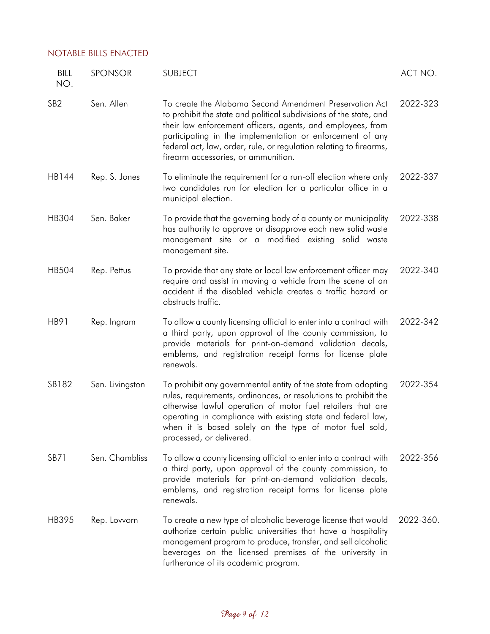| <b>BILL</b><br>NO. | SPONSOR         | <b>SUBJECT</b>                                                                                                                                                                                                                                                                                                                                                         | ACT NO.   |
|--------------------|-----------------|------------------------------------------------------------------------------------------------------------------------------------------------------------------------------------------------------------------------------------------------------------------------------------------------------------------------------------------------------------------------|-----------|
| SB <sub>2</sub>    | Sen. Allen      | To create the Alabama Second Amendment Preservation Act<br>to prohibit the state and political subdivisions of the state, and<br>their law enforcement officers, agents, and employees, from<br>participating in the implementation or enforcement of any<br>federal act, law, order, rule, or regulation relating to firearms,<br>firearm accessories, or ammunition. | 2022-323  |
| HB144              | Rep. S. Jones   | To eliminate the requirement for a run-off election where only<br>two candidates run for election for a particular office in a<br>municipal election.                                                                                                                                                                                                                  | 2022-337  |
| HB304              | Sen. Baker      | To provide that the governing body of a county or municipality<br>has authority to approve or disapprove each new solid waste<br>management site or a modified existing solid waste<br>management site.                                                                                                                                                                | 2022-338  |
| <b>HB504</b>       | Rep. Pettus     | To provide that any state or local law enforcement officer may<br>require and assist in moving a vehicle from the scene of an<br>accident if the disabled vehicle creates a traffic hazard or<br>obstructs traffic.                                                                                                                                                    | 2022-340  |
| HB91               | Rep. Ingram     | To allow a county licensing official to enter into a contract with<br>a third party, upon approval of the county commission, to<br>provide materials for print-on-demand validation decals,<br>emblems, and registration receipt forms for license plate<br>renewals.                                                                                                  | 2022-342  |
| SB182              | Sen. Livingston | To prohibit any governmental entity of the state from adopting<br>rules, requirements, ordinances, or resolutions to prohibit the<br>otherwise lawful operation of motor fuel retailers that are<br>operating in compliance with existing state and federal law,<br>when it is based solely on the type of motor fuel sold,<br>processed, or delivered.                | 2022-354  |
| SB71               | Sen. Chambliss  | To allow a county licensing official to enter into a contract with<br>a third party, upon approval of the county commission, to<br>provide materials for print-on-demand validation decals,<br>emblems, and registration receipt forms for license plate<br>renewals.                                                                                                  | 2022-356  |
| HB395              | Rep. Lovvorn    | To create a new type of alcoholic beverage license that would<br>authorize certain public universities that have a hospitality<br>management program to produce, transfer, and sell alcoholic<br>beverages on the licensed premises of the university in<br>furtherance of its academic program.                                                                       | 2022-360. |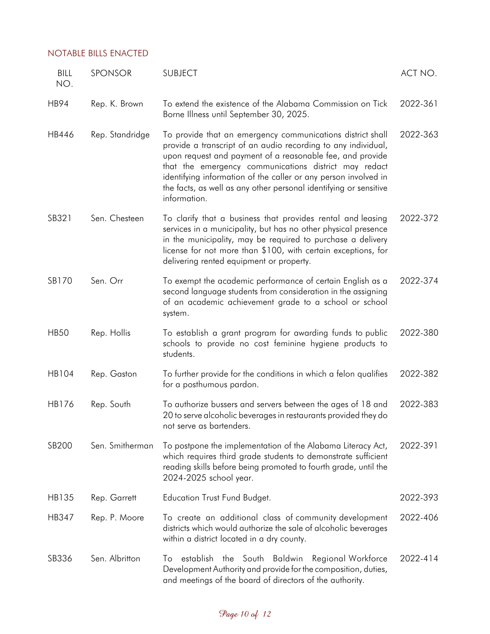| <b>BILL</b><br>NO. | SPONSOR         | <b>SUBJECT</b>                                                                                                                                                                                                                                                                                                                                                                                            | ACT NO.  |
|--------------------|-----------------|-----------------------------------------------------------------------------------------------------------------------------------------------------------------------------------------------------------------------------------------------------------------------------------------------------------------------------------------------------------------------------------------------------------|----------|
| <b>HB94</b>        | Rep. K. Brown   | To extend the existence of the Alabama Commission on Tick<br>Borne Illness until September 30, 2025.                                                                                                                                                                                                                                                                                                      | 2022-361 |
| HB446              | Rep. Standridge | To provide that an emergency communications district shall<br>provide a transcript of an audio recording to any individual,<br>upon request and payment of a reasonable fee, and provide<br>that the emergency communications district may redact<br>identifying information of the caller or any person involved in<br>the facts, as well as any other personal identifying or sensitive<br>information. | 2022-363 |
| SB321              | Sen. Chesteen   | To clarify that a business that provides rental and leasing<br>services in a municipality, but has no other physical presence<br>in the municipality, may be required to purchase a delivery<br>license for not more than \$100, with certain exceptions, for<br>delivering rented equipment or property.                                                                                                 | 2022-372 |
| SB170              | Sen. Orr        | To exempt the academic performance of certain English as a<br>second language students from consideration in the assigning<br>of an academic achievement grade to a school or school<br>system.                                                                                                                                                                                                           | 2022-374 |
| <b>HB50</b>        | Rep. Hollis     | To establish a grant program for awarding funds to public<br>schools to provide no cost feminine hygiene products to<br>students.                                                                                                                                                                                                                                                                         | 2022-380 |
| <b>HB104</b>       | Rep. Gaston     | To further provide for the conditions in which a felon qualifies<br>for a posthumous pardon.                                                                                                                                                                                                                                                                                                              | 2022-382 |
| HB176              | Rep. South      | To authorize bussers and servers between the ages of 18 and<br>20 to serve alcoholic beverages in restaurants provided they do<br>not serve as bartenders.                                                                                                                                                                                                                                                | 2022-383 |
| SB200              | Sen. Smitherman | To postpone the implementation of the Alabama Literacy Act,<br>which requires third grade students to demonstrate sufficient<br>reading skills before being promoted to fourth grade, until the<br>2024-2025 school year.                                                                                                                                                                                 | 2022-391 |
| HB135              | Rep. Garrett    | <b>Education Trust Fund Budget.</b>                                                                                                                                                                                                                                                                                                                                                                       | 2022-393 |
| HB347              | Rep. P. Moore   | To create an additional class of community development<br>districts which would authorize the sale of alcoholic beverages<br>within a district located in a dry county.                                                                                                                                                                                                                                   | 2022-406 |
| SB336              | Sen. Albritton  | establish the South Baldwin<br>Regional Workforce<br>To<br>Development Authority and provide for the composition, duties,<br>and meetings of the board of directors of the authority.                                                                                                                                                                                                                     | 2022-414 |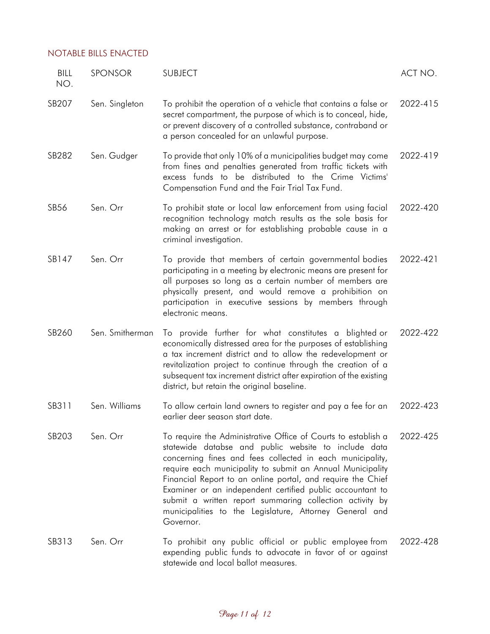| BILL<br>NO. | SPONSOR         | <b>SUBJECT</b>                                                                                                                                                                                                                                                                                                                                                                                                                                                                                                   | ACT NO.  |
|-------------|-----------------|------------------------------------------------------------------------------------------------------------------------------------------------------------------------------------------------------------------------------------------------------------------------------------------------------------------------------------------------------------------------------------------------------------------------------------------------------------------------------------------------------------------|----------|
| SB207       | Sen. Singleton  | To prohibit the operation of a vehicle that contains a false or<br>secret compartment, the purpose of which is to conceal, hide,<br>or prevent discovery of a controlled substance, contraband or<br>a person concealed for an unlawful purpose.                                                                                                                                                                                                                                                                 | 2022-415 |
| SB282       | Sen. Gudger     | To provide that only 10% of a municipalities budget may come<br>from fines and penalties generated from traffic tickets with<br>excess funds to be distributed to the Crime Victims'<br>Compensation Fund and the Fair Trial Tax Fund.                                                                                                                                                                                                                                                                           | 2022-419 |
| SB56        | Sen. Orr        | To prohibit state or local law enforcement from using facial<br>recognition technology match results as the sole basis for<br>making an arrest or for establishing probable cause in a<br>criminal investigation.                                                                                                                                                                                                                                                                                                | 2022-420 |
| SB147       | Sen. Orr        | To provide that members of certain governmental bodies<br>participating in a meeting by electronic means are present for<br>all purposes so long as a certain number of members are<br>physically present, and would remove a prohibition on<br>participation in executive sessions by members through<br>electronic means.                                                                                                                                                                                      | 2022-421 |
| SB260       | Sen. Smitherman | To provide further for what constitutes a blighted or<br>economically distressed area for the purposes of establishing<br>a tax increment district and to allow the redevelopment or<br>revitalization project to continue through the creation of a<br>subsequent tax increment district after expiration of the existing<br>district, but retain the original baseline.                                                                                                                                        | 2022-422 |
| SB311       | Sen. Williams   | To allow certain land owners to register and pay a fee for an<br>earlier deer season start date.                                                                                                                                                                                                                                                                                                                                                                                                                 | 2022-423 |
| SB203       | Sen. Orr        | To require the Administrative Office of Courts to establish a<br>statewide databse and public website to include data<br>concerning fines and fees collected in each municipality,<br>require each municipality to submit an Annual Municipality<br>Financial Report to an online portal, and require the Chief<br>Examiner or an independent certified public accountant to<br>submit a written report summaring collection activity by<br>municipalities to the Legislature, Attorney General and<br>Governor. | 2022-425 |
| SB313       | Sen. Orr        | To prohibit any public official or public employee from<br>expending public funds to advocate in favor of or against<br>statewide and local ballot measures.                                                                                                                                                                                                                                                                                                                                                     | 2022-428 |